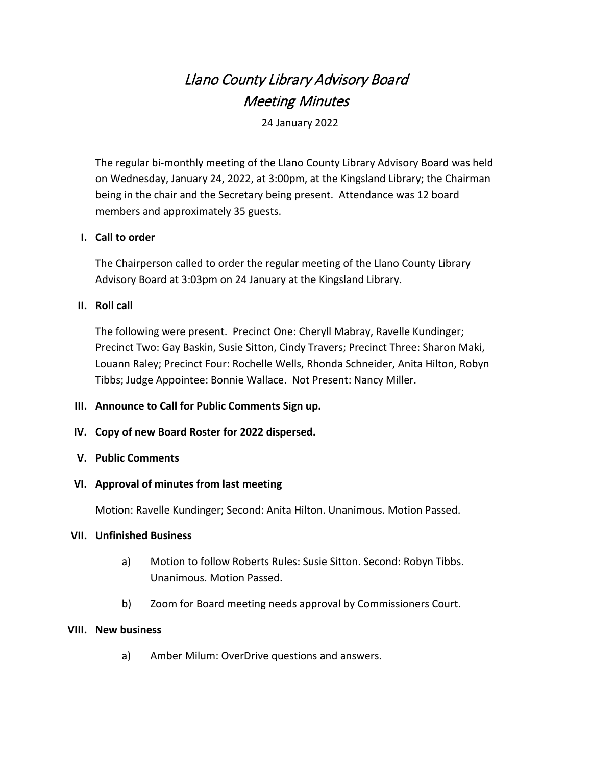# Llano County Library Advisory Board Meeting Minutes

24 January 2022

The regular bi-monthly meeting of the Llano County Library Advisory Board was held on Wednesday, January 24, 2022, at 3:00pm, at the Kingsland Library; the Chairman being in the chair and the Secretary being present. Attendance was 12 board members and approximately 35 guests.

## **I. Call to order**

The Chairperson called to order the regular meeting of the Llano County Library Advisory Board at 3:03pm on 24 January at the Kingsland Library.

## **II. Roll call**

The following were present. Precinct One: Cheryll Mabray, Ravelle Kundinger; Precinct Two: Gay Baskin, Susie Sitton, Cindy Travers; Precinct Three: Sharon Maki, Louann Raley; Precinct Four: Rochelle Wells, Rhonda Schneider, Anita Hilton, Robyn Tibbs; Judge Appointee: Bonnie Wallace. Not Present: Nancy Miller.

#### **III. Announce to Call for Public Comments Sign up.**

# **IV. Copy of new Board Roster for 2022 dispersed.**

#### **V. Public Comments**

#### **VI. Approval of minutes from last meeting**

Motion: Ravelle Kundinger; Second: Anita Hilton. Unanimous. Motion Passed.

#### **VII. Unfinished Business**

- a) Motion to follow Roberts Rules: Susie Sitton. Second: Robyn Tibbs. Unanimous. Motion Passed.
- b) Zoom for Board meeting needs approval by Commissioners Court.

#### **VIII. New business**

a) Amber Milum: OverDrive questions and answers.